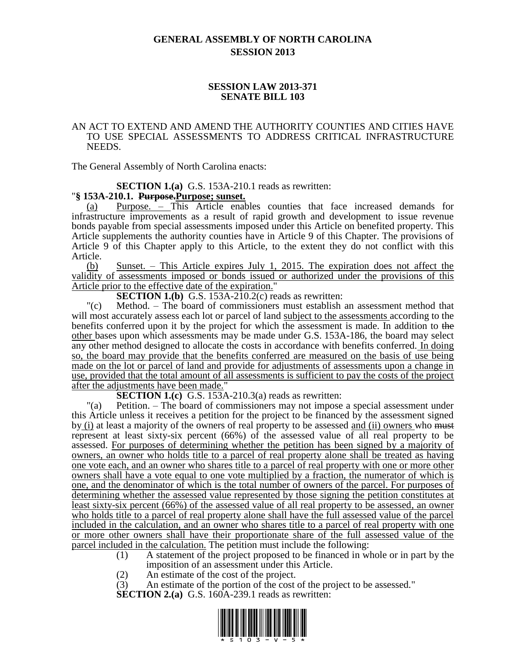# **GENERAL ASSEMBLY OF NORTH CAROLINA SESSION 2013**

### **SESSION LAW 2013-371 SENATE BILL 103**

#### AN ACT TO EXTEND AND AMEND THE AUTHORITY COUNTIES AND CITIES HAVE TO USE SPECIAL ASSESSMENTS TO ADDRESS CRITICAL INFRASTRUCTURE NEEDS.

The General Assembly of North Carolina enacts:

**SECTION 1.(a)** G.S. 153A-210.1 reads as rewritten:

### "**§ 153A-210.1. Purpose.Purpose; sunset.**

Purpose. – This Article enables counties that face increased demands for infrastructure improvements as a result of rapid growth and development to issue revenue bonds payable from special assessments imposed under this Article on benefited property. This Article supplements the authority counties have in Article 9 of this Chapter. The provisions of Article 9 of this Chapter apply to this Article, to the extent they do not conflict with this Article.

(b) Sunset. – This Article expires July 1, 2015. The expiration does not affect the validity of assessments imposed or bonds issued or authorized under the provisions of this Article prior to the effective date of the expiration."

**SECTION 1.(b)** G.S. 153A-2 $\overline{1}0.2(c)$  reads as rewritten:

"(c) Method. – The board of commissioners must establish an assessment method that will most accurately assess each lot or parcel of land subject to the assessments according to the benefits conferred upon it by the project for which the assessment is made. In addition to the other bases upon which assessments may be made under G.S. 153A-186, the board may select any other method designed to allocate the costs in accordance with benefits conferred. In doing so, the board may provide that the benefits conferred are measured on the basis of use being made on the lot or parcel of land and provide for adjustments of assessments upon a change in use, provided that the total amount of all assessments is sufficient to pay the costs of the project after the adjustments have been made."

**SECTION 1.(c)** G.S. 153A-210.3(a) reads as rewritten:

"(a) Petition. – The board of commissioners may not impose a special assessment under this Article unless it receives a petition for the project to be financed by the assessment signed by (i) at least a majority of the owners of real property to be assessed and (ii) owners who must represent at least sixty-six percent (66%) of the assessed value of all real property to be assessed. For purposes of determining whether the petition has been signed by a majority of owners, an owner who holds title to a parcel of real property alone shall be treated as having one vote each, and an owner who shares title to a parcel of real property with one or more other owners shall have a vote equal to one vote multiplied by a fraction, the numerator of which is one, and the denominator of which is the total number of owners of the parcel. For purposes of determining whether the assessed value represented by those signing the petition constitutes at least sixty-six percent (66%) of the assessed value of all real property to be assessed, an owner who holds title to a parcel of real property alone shall have the full assessed value of the parcel included in the calculation, and an owner who shares title to a parcel of real property with one or more other owners shall have their proportionate share of the full assessed value of the parcel included in the calculation. The petition must include the following:

- (1) A statement of the project proposed to be financed in whole or in part by the imposition of an assessment under this Article.
- (2) An estimate of the cost of the project.

(3) An estimate of the portion of the cost of the project to be assessed."

**SECTION 2.(a)** G.S. 160A-239.1 reads as rewritten:

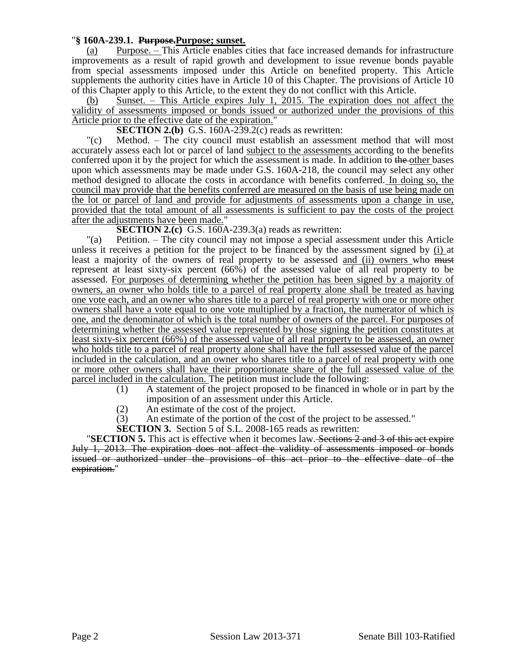## "**§ 160A-239.1. Purpose.Purpose; sunset.**

(a) Purpose. – This Article enables cities that face increased demands for infrastructure improvements as a result of rapid growth and development to issue revenue bonds payable from special assessments imposed under this Article on benefited property. This Article supplements the authority cities have in Article 10 of this Chapter. The provisions of Article 10 of this Chapter apply to this Article, to the extent they do not conflict with this Article.

Sunset. – This Article expires July 1, 2015. The expiration does not affect the validity of assessments imposed or bonds issued or authorized under the provisions of this Article prior to the effective date of the expiration."

**SECTION 2.(b)** G.S. 160A-239.2(c) reads as rewritten:

"(c) Method. – The city council must establish an assessment method that will most accurately assess each lot or parcel of land subject to the assessments according to the benefits conferred upon it by the project for which the assessment is made. In addition to the other bases upon which assessments may be made under G.S. 160A-218, the council may select any other method designed to allocate the costs in accordance with benefits conferred. In doing so, the council may provide that the benefits conferred are measured on the basis of use being made on the lot or parcel of land and provide for adjustments of assessments upon a change in use, provided that the total amount of all assessments is sufficient to pay the costs of the project after the adjustments have been made."

**SECTION 2.(c)** G.S. 160A-239.3(a) reads as rewritten:

"(a) Petition. – The city council may not impose a special assessment under this Article unless it receives a petition for the project to be financed by the assessment signed by (i) at least a majority of the owners of real property to be assessed and (ii) owners who must represent at least sixty-six percent (66%) of the assessed value of all real property to be assessed. For purposes of determining whether the petition has been signed by a majority of owners, an owner who holds title to a parcel of real property alone shall be treated as having one vote each, and an owner who shares title to a parcel of real property with one or more other owners shall have a vote equal to one vote multiplied by a fraction, the numerator of which is one, and the denominator of which is the total number of owners of the parcel. For purposes of determining whether the assessed value represented by those signing the petition constitutes at least sixty-six percent (66%) of the assessed value of all real property to be assessed, an owner who holds title to a parcel of real property alone shall have the full assessed value of the parcel included in the calculation, and an owner who shares title to a parcel of real property with one or more other owners shall have their proportionate share of the full assessed value of the parcel included in the calculation. The petition must include the following:

- (1) A statement of the project proposed to be financed in whole or in part by the imposition of an assessment under this Article.
- (2) An estimate of the cost of the project.
- (3) An estimate of the portion of the cost of the project to be assessed."
- **SECTION 3.** Section 5 of S.L. 2008-165 reads as rewritten:

**"SECTION 5.** This act is effective when it becomes law. Sections 2 and 3 of this act expire July 1, 2013. The expiration does not affect the validity of assessments imposed or bonds issued or authorized under the provisions of this act prior to the effective date of the expiration."